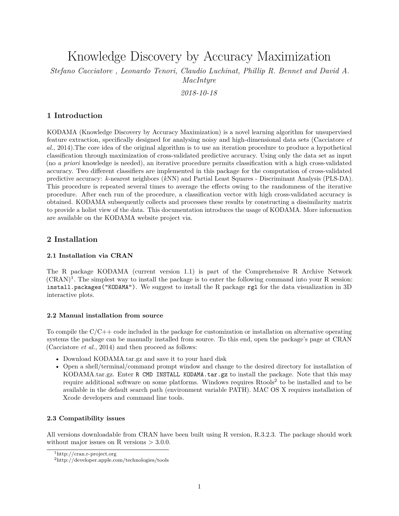Knowledge Discovery by Accuracy Maximization

*Stefano Cacciatore , Leonardo Tenori, Claudio Luchinat, Phillip R. Bennet and David A. MacIntyre*

*2018-10-18*

## **1 Introduction**

KODAMA (Knowledge Discovery by Accuracy Maximization) is a novel learning algorithm for unsupervised feature extraction, specifically designed for analysing noisy and high-dimensional data sets (Cacciatore *et al.*, 2014).The core idea of the original algorithm is to use an iteration procedure to produce a hypothetical classification through maximization of cross-validated predictive accuracy. Using only the data set as input (no *a priori* knowledge is needed), an iterative procedure permits classification with a high cross-validated accuracy. Two different classifiers are implemented in this package for the computation of cross-validated predictive accuracy: *k*-nearest neighbors (*k*NN) and Partial Least Squares - Discriminant Analysis (PLS-DA). This procedure is repeated several times to average the effects owing to the randomness of the iterative procedure. After each run of the procedure, a classification vector with high cross-validated accuracy is obtained. KODAMA subsequently collects and processes these results by constructing a dissimilarity matrix to provide a holist view of the data. This documentation introduces the usage of KODAMA. More information are available on the KODAMA website project [via.](http://www.kodama-project.com/)

### **2 Installation**

#### **2.1 Installation via CRAN**

The R package KODAMA (current version 1.1) is part of the Comprehensive R Archive Network  $(CRAN)^1$  $(CRAN)^1$ . The simplest way to install the package is to enter the following command into your R session: install.packages("KODAMA"). We suggest to install the R package rgl for the data visualization in 3D interactive plots.

#### **2.2 Manual installation from source**

To compile the  $C/C++$  code included in the package for customization or installation on alternative operating systems the package can be manually installed from source. To this end, open the package's page at CRAN (Cacciatore *et al.*, 2014) and then proceed as follows:

- Download KODAMA.tar.gz and save it to your hard disk
- Open a shell/terminal/command prompt window and change to the desired directory for installation of KODAMA.tar.gz. Enter R CMD INSTALL KODAMA.tar.gz to install the package. Note that this may require additional software on some platforms. Windows requires Rtools<sup>[2](#page-0-1)</sup> to be installed and to be available in the default search path (environment variable PATH). MAC OS X requires installation of Xcode developers and command line tools.

#### **2.3 Compatibility issues**

All versions downloadable from CRAN have been built using R version, R.3.2.3. The package should work without major issues on R versions  $> 3.0.0$ .

<span id="page-0-0"></span><sup>1</sup><http://cran.r-project.org>

<span id="page-0-1"></span><sup>2</sup><http://developer.apple.com/technologies/tools>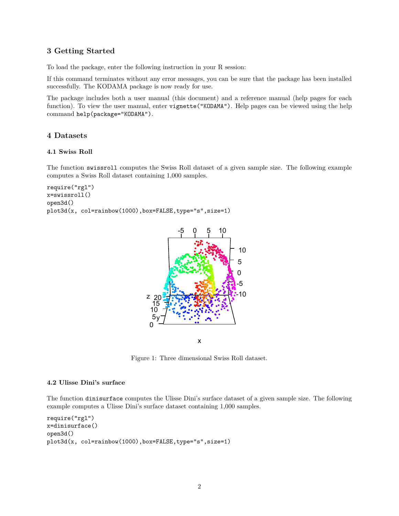## **3 Getting Started**

To load the package, enter the following instruction in your R session:

If this command terminates without any error messages, you can be sure that the package has been installed successfully. The KODAMA package is now ready for use.

The package includes both a user manual (this document) and a reference manual (help pages for each function). To view the user manual, enter vignette("KODAMA"). Help pages can be viewed using the help command help(package="KODAMA").

### **4 Datasets**

### **4.1 Swiss Roll**

The function swissroll computes the Swiss Roll dataset of a given sample size. The following example computes a Swiss Roll dataset containing 1,000 samples.

```
require("rgl")
x=swissroll()
open3d()
plot3d(x, col=rainbow(1000),box=FALSE,type="s",size=1)
```


Figure 1: Three dimensional Swiss Roll dataset.

### **4.2 Ulisse Dini's surface**

The function dinisurface computes the Ulisse Dini's surface dataset of a given sample size. The following example computes a Ulisse Dini's surface dataset containing 1,000 samples.

```
require("rgl")
x=dinisurface()
open3d()
plot3d(x, col=rainbow(1000),box=FALSE,type="s",size=1)
```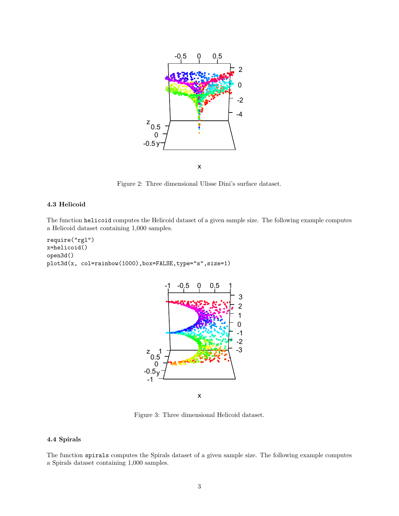

Figure 2: Three dimensional Ulisse Dini's surface dataset.

### **4.3 Helicoid**

The function helicoid computes the Helicoid dataset of a given sample size. The following example computes a Helicoid dataset containing 1,000 samples.

```
require("rgl")
x=helicoid()
open3d()
plot3d(x, col=rainbow(1000),box=FALSE,type="s",size=1)
```


Figure 3: Three dimensional Helicoid dataset.

## **4.4 Spirals**

The function spirals computes the Spirals dataset of a given sample size. The following example computes a Spirals dataset containing 1,000 samples.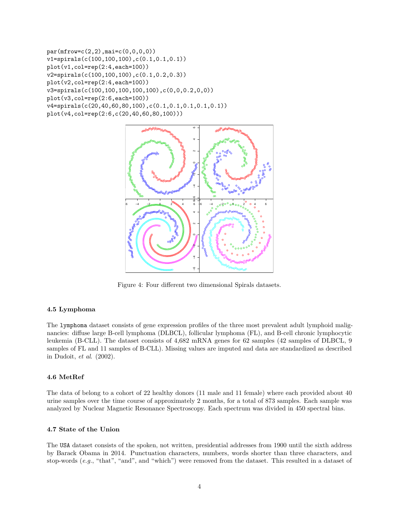```
par(mfrow=c(2,2),mai=c(0,0,0,0))v1=spirals(c(100,100,100),c(0.1,0.1,0.1))
plot(v1,col=rep(2:4,each=100))
v2=spirals(c(100,100,100),c(0.1,0.2,0.3))
plot(v2,col=rep(2:4,each=100))
v3=spirals(c(100,100,100,100,100),c(0,0,0.2,0,0))
plot(v3,col=rep(2:6,each=100))
v4=spirals(c(20,40,60,80,100),c(0.1,0.1,0.1,0.1,0.1))
plot(v4,col=rep(2:6,c(20,40,60,80,100)))
```


Figure 4: Four different two dimensional Spirals datasets.

# **4.5 Lymphoma**

The lymphoma dataset consists of gene expression profiles of the three most prevalent adult lymphoid malignancies: diffuse large B-cell lymphoma (DLBCL), follicular lymphoma (FL), and B-cell chronic lymphocytic leukemia (B-CLL). The dataset consists of 4,682 mRNA genes for 62 samples (42 samples of DLBCL, 9 samples of FL and 11 samples of B-CLL). Missing values are imputed and data are standardized as described in Dudoit, *et al*. (2002).

# **4.6 MetRef**

The data of belong to a cohort of 22 healthy donors (11 male and 11 female) where each provided about 40 urine samples over the time course of approximately 2 months, for a total of 873 samples. Each sample was analyzed by Nuclear Magnetic Resonance Spectroscopy. Each spectrum was divided in 450 spectral bins.

# **4.7 State of the Union**

The USA dataset consists of the spoken, not written, presidential addresses from 1900 until the sixth address by Barack Obama in 2014. Punctuation characters, numbers, words shorter than three characters, and stop-words (*e.g.*, "that", "and", and "which") were removed from the dataset. This resulted in a dataset of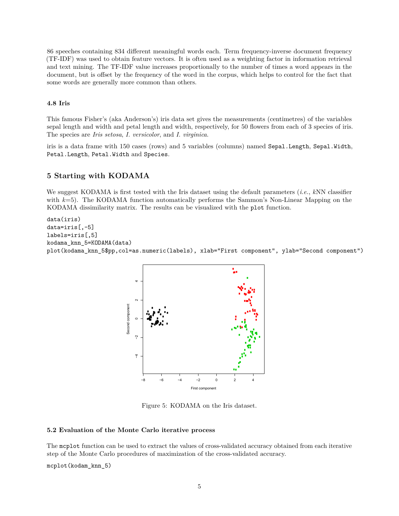86 speeches containing 834 different meaningful words each. Term frequency-inverse document frequency (TF-IDF) was used to obtain feature vectors. It is often used as a weighting factor in information retrieval and text mining. The TF-IDF value increases proportionally to the number of times a word appears in the document, but is offset by the frequency of the word in the corpus, which helps to control for the fact that some words are generally more common than others.

### **4.8 Iris**

This famous Fisher's (aka Anderson's) iris data set gives the measurements (centimetres) of the variables sepal length and width and petal length and width, respectively, for 50 flowers from each of 3 species of iris. The species are *Iris setosa*, *I. versicolor*, and *I. virginica*.

iris is a data frame with 150 cases (rows) and 5 variables (columns) named Sepal.Length, Sepal.Width, Petal.Length, Petal.Width and Species.

# **5 Starting with KODAMA**

We suggest KODAMA is first tested with the Iris dataset using the default parameters (*i.e.*, *k*NN classifier with  $k=5$ ). The KODAMA function automatically performs the Sammon's Non-Linear Mapping on the KODAMA dissimilarity matrix. The results can be visualized with the plot function.

```
data(iris)
data=iris[,-5]
labels=iris[,5]
kodama_knn_5=KODAMA(data)
plot(kodama_knn_5$pp,col=as.numeric(labels), xlab="First component", ylab="Second component")
```


Figure 5: KODAMA on the Iris dataset.

### **5.2 Evaluation of the Monte Carlo iterative process**

The mcplot function can be used to extract the values of cross-validated accuracy obtained from each iterative step of the Monte Carlo procedures of maximization of the cross-validated accuracy.

mcplot(kodam\_knn\_5)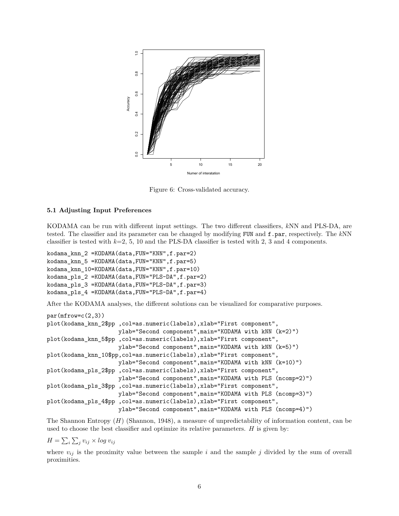

Figure 6: Cross-validated accuracy.

#### **5.1 Adjusting Input Preferences**

KODAMA can be run with different input settings. The two different classifiers, *k*NN and PLS-DA, are tested. The classifier and its parameter can be changed by modifying FUN and f.par, respectively. The *k*NN classifier is tested with  $k=2, 5, 10$  and the PLS-DA classifier is tested with 2, 3 and 4 components.

```
kodama_knn_2 =KODAMA(data,FUN="KNN",f.par=2)
kodama_knn_5 =KODAMA(data,FUN="KNN",f.par=5)
kodama_knn_10=KODAMA(data,FUN="KNN",f.par=10)
kodama_pls_2 =KODAMA(data,FUN="PLS-DA",f.par=2)
kodama_pls_3 =KODAMA(data,FUN="PLS-DA",f.par=3)
kodama_pls_4 =KODAMA(data,FUN="PLS-DA",f.par=4)
```
After the KODAMA analyses, the different solutions can be visualized for comparative purposes.

```
par(mfrow=c(2,3))plot(kodama_knn_2$pp ,col=as.numeric(labels),xlab="First component",
                     ylab="Second component",main="KODAMA with kNN (k=2)")
plot(kodama_knn_5$pp ,col=as.numeric(labels),xlab="First component",
                     ylab="Second component",main="KODAMA with kNN (k=5)")
plot(kodama_knn_10$pp,col=as.numeric(labels),xlab="First component",
                     ylab="Second component",main="KODAMA with kNN (k=10)")
plot(kodama_pls_2$pp ,col=as.numeric(labels),xlab="First component",
                     ylab="Second component",main="KODAMA with PLS (ncomp=2)")
plot(kodama_pls_3$pp ,col=as.numeric(labels),xlab="First component",
                     ylab="Second component",main="KODAMA with PLS (ncomp=3)")
plot(kodama_pls_4$pp ,col=as.numeric(labels),xlab="First component",
                     ylab="Second component",main="KODAMA with PLS (ncomp=4)")
```
The Shannon Entropy (*H*) (Shannon, 1948), a measure of unpredictability of information content, can be used to choose the best classifier and optimize its relative parameters. *H* is given by:

 $H = \sum_i \sum_j v_{ij} \times log v_{ij}$ 

where  $v_{ij}$  is the proximity value between the sample *i* and the sample *j* divided by the sum of overall proximities.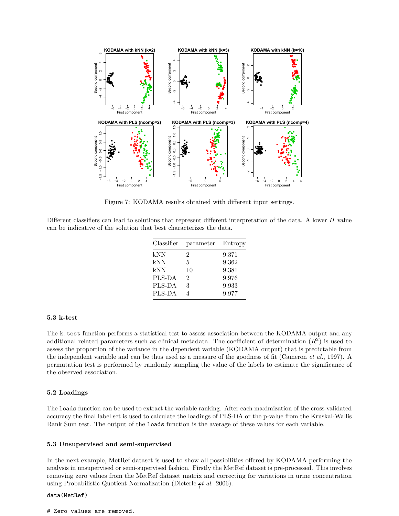

Figure 7: KODAMA results obtained with different input settings.

Different classifiers can lead to solutions that represent different interpretation of the data. A lower *H* value can be indicative of the solution that best characterizes the data.

| Classifier | parameter      | Entropy |
|------------|----------------|---------|
| kNN        | 2              | 9.371   |
| kNN        | 5              | 9.362   |
| kNN        | 10             | 9.381   |
| PLS-DA     | $\mathfrak{D}$ | 9.976   |
| PLS-DA     | 3              | 9.933   |
| PLS-DA     |                | 9.977   |

### **5.3 k-test**

The k.test function performs a statistical test to assess association between the KODAMA output and any additional related parameters such as clinical metadata. The coefficient of determination  $(R^2)$  is used to assess the proportion of the variance in the dependent variable (KODAMA output) that is predictable from the independent variable and can be thus used as a measure of the goodness of fit (Cameron *et al.*, 1997). A permutation test is performed by randomly sampling the value of the labels to estimate the significance of the observed association.

### **5.2 Loadings**

The loads function can be used to extract the variable ranking. After each maximization of the cross-validated accuracy the final label set is used to calculate the loadings of PLS-DA or the p-value from the Kruskal-Wallis Rank Sum test. The output of the loads function is the average of these values for each variable.

#### **5.3 Unsupervised and semi-supervised**

In the next example, MetRef dataset is used to show all possibilities offered by KODAMA performing the analysis in unsupervised or semi-supervised fashion. Firstly the MetRef dataset is pre-processed. This involves removing zero values from the MetRef dataset matrix and correcting for variations in urine concentration using Probabilistic Quotient Normalization (Dieterle *et al.* 2006). 7

### data(MetRef)

#### # Zero values are removed.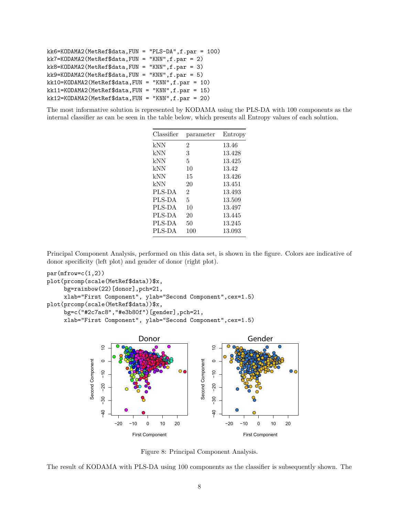```
kk6=KODAMA2(MetRef$data,FUN = "PLS-DA",f.par = 100)
kk7=KODAMA2(MetRef$data,FUN = "KNN",f.par = 2)
kk8=KODAMA2(MetRef$data,FUN = "KNN", f.par = 3)kk9=KODAMA2(MetRef$data,FUN = "KNN",f.par = 5)
kk10=KODAMA2(MetRef$data,FUN = "KNN",f.par = 10)
kk11=KODAMA2(MetRef$data,FUN = "KNN", f par = 15)kk12=KODAMA2(MetRef$data,FUN = "KNN",f.par = 20)
```
The most informative solution is represented by KODAMA using the PLS-DA with 100 components as the internal classifier as can be seen in the table below, which presents all Entropy values of each solution.

| Classifier | parameter      | Entropy |
|------------|----------------|---------|
| kNN        | 2              | 13.46   |
| kNN        | 3              | 13.428  |
| kNN        | 5              | 13.425  |
| kNN        | 10             | 13.42   |
| kNN        | 15             | 13.426  |
| kNN        | 20             | 13.451  |
| PLS-DA     | $\mathfrak{D}$ | 13.493  |
| PLS-DA     | 5              | 13.509  |
| PLS-DA     | 10             | 13.497  |
| PLS-DA     | 20             | 13.445  |
| PLS-DA     | 50             | 13.245  |
| PLS-DA     | 100            | 13.093  |

Principal Component Analysis, performed on this data set, is shown in the figure. Colors are indicative of donor specificity (left plot) and gender of donor (right plot).

```
par(mfrow=c(1,2))plot(prcomp(scale(MetRef$data))$x,
     bg=rainbow(22)[donor],pch=21,
     xlab="First Component", ylab="Second Component",cex=1.5)
plot(prcomp(scale(MetRef$data))$x,
     bg=c("#2c7ac8","#e3b80f")[gender],pch=21,
     xlab="First Component", ylab="Second Component",cex=1.5)
```


Figure 8: Principal Component Analysis.

The result of KODAMA with PLS-DA using 100 components as the classifier is subsequently shown. The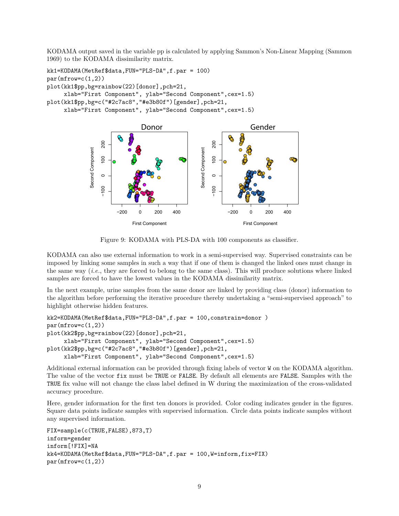KODAMA output saved in the variable pp is calculated by applying Sammon's Non-Linear Mapping (Sammon 1969) to the KODAMA dissimilarity matrix.

```
kk1=KODAMA(MetRef$data,FUN="PLS-DA",f.par = 100)
par(mfrow=c(1,2))plot(kk1$pp,bg=rainbow(22)[donor],pch=21,
     xlab="First Component", ylab="Second Component",cex=1.5)
plot(kk1$pp,bg=c("#2c7ac8","#e3b80f")[gender],pch=21,
     xlab="First Component", ylab="Second Component",cex=1.5)
```


Figure 9: KODAMA with PLS-DA with 100 components as classifier.

KODAMA can also use external information to work in a semi-supervised way. Supervised constraints can be imposed by linking some samples in such a way that if one of them is changed the linked ones must change in the same way (*i.e.*, they are forced to belong to the same class). This will produce solutions where linked samples are forced to have the lowest values in the KODAMA dissimilarity matrix.

In the next example, urine samples from the same donor are linked by providing class (donor) information to the algorithm before performing the iterative procedure thereby undertaking a "semi-supervised approach" to highlight otherwise hidden features.

```
kk2=KODAMA(MetRef$data,FUN="PLS-DA",f.par = 100,constrain=donor )
par(mfrow=c(1,2))plot(kk2$pp,bg=rainbow(22)[donor],pch=21,
     xlab="First Component", ylab="Second Component",cex=1.5)
plot(kk2$pp,bg=c("#2c7ac8","#e3b80f")[gender],pch=21,
     xlab="First Component", ylab="Second Component",cex=1.5)
```
Additional external information can be provided through fixing labels of vector W on the KODAMA algorithm. The value of the vector fix must be TRUE or FALSE. By default all elements are FALSE. Samples with the TRUE fix value will not change the class label defined in W during the maximization of the cross-validated accuracy procedure.

Here, gender information for the first ten donors is provided. Color coding indicates gender in the figures. Square data points indicate samples with supervised information. Circle data points indicate samples without any supervised information.

```
FIX=sample(c(TRUE,FALSE),873,T)
inform=gender
inform[!FIX]=NA
kk4=KODAMA(MetRef$data,FUN="PLS-DA",f.par = 100,W=inform,fix=FIX)
par(mfrow=c(1,2))
```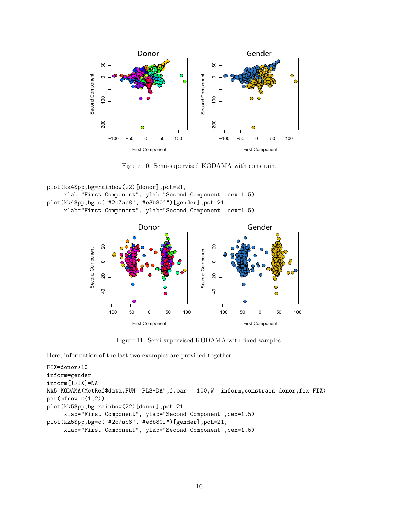

Figure 10: Semi-supervised KODAMA with constrain.

```
plot(kk4$pp,bg=rainbow(22)[donor],pch=21,
     xlab="First Component", ylab="Second Component",cex=1.5)
plot(kk4$pp,bg=c("#2c7ac8","#e3b80f")[gender],pch=21,
     xlab="First Component", ylab="Second Component",cex=1.5)
```


Figure 11: Semi-supervised KODAMA with fixed samples.

Here, information of the last two examples are provided together.

```
FIX=donor>10
inform=gender
inform[!FIX]=NA
kk5=KODAMA(MetRef$data,FUN="PLS-DA",f.par = 100,W= inform,constrain=donor,fix=FIX)
par(mfrow=c(1,2))plot(kk5$pp,bg=rainbow(22)[donor],pch=21,
     xlab="First Component", ylab="Second Component",cex=1.5)
plot(kk5$pp,bg=c("#2c7ac8","#e3b80f")[gender],pch=21,
     xlab="First Component", ylab="Second Component",cex=1.5)
```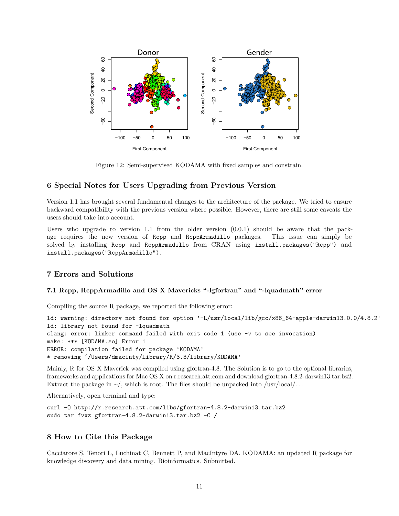

Figure 12: Semi-supervised KODAMA with fixed samples and constrain.

### **6 Special Notes for Users Upgrading from Previous Version**

Version 1.1 has brought several fundamental changes to the architecture of the package. We tried to ensure backward compatibility with the previous version where possible. However, there are still some caveats the users should take into account.

Users who upgrade to version  $1.1$  from the older version  $(0.0.1)$  should be aware that the package requires the new version of Rcpp and RcppArmadillo packages. This issue can simply be solved by installing Rcpp and RcppArmadillo from CRAN using install.packages("Rcpp") and install.packages("RcppArmadillo").

### **7 Errors and Solutions**

### **7.1 Rcpp, RcppArmadillo and OS X Mavericks "-lgfortran" and "-lquadmath" error**

Compiling the source R package, we reported the following error:

ld: warning: directory not found for option '-L/usr/local/lib/gcc/x86\_64-apple-darwin13.0.0/4.8.2' ld: library not found for -lquadmath clang: error: linker command failed with exit code 1 (use -v to see invocation) make: \*\*\* [KODAMA.so] Error 1 ERROR: compilation failed for package 'KODAMA' \* removing '/Users/dmacinty/Library/R/3.3/library/KODAMA'

Mainly, R for OS X Maverick was compiled using gfortran-4.8. The Solution is to go to the optional libraries, frameworks and applications for Mac OS X on r.research.att.com and download gfortran-4.8.2-darwin13.tar.bz2. Extract the package in  $\sim$ /, which is root. The files should be unpacked into /usr/local/...

Alternatively, open terminal and type:

```
curl -O http://r.research.att.com/libs/gfortran-4.8.2-darwin13.tar.bz2
sudo tar fvxz gfortran-4.8.2-darwin13.tar.bz2 -C /
```
# **8 How to Cite this Package**

Cacciatore S, Tenori L, Luchinat C, Bennett P, and MacIntyre DA. KODAMA: an updated R package for knowledge discovery and data mining. Bioinformatics. Submitted.